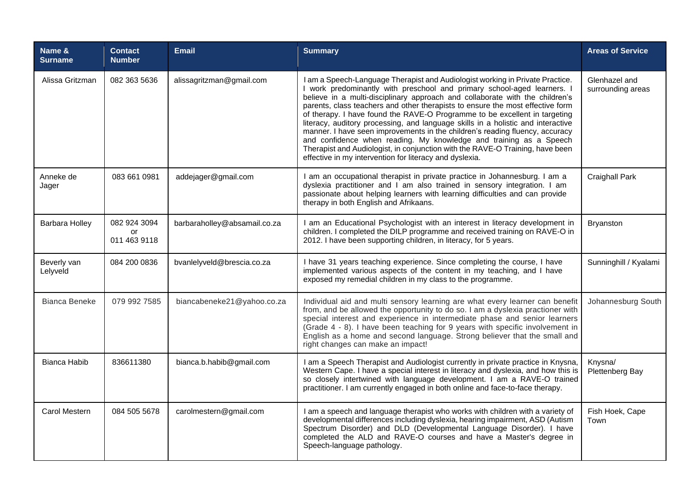| Name &<br><b>Surname</b> | <b>Contact</b><br><b>Number</b>    | <b>Email</b>                 | <b>Summary</b>                                                                                                                                                                                                                                                                                                                                                                                                                                                                                                                                                                                                                                                                                                                                                                                 | <b>Areas of Service</b>            |
|--------------------------|------------------------------------|------------------------------|------------------------------------------------------------------------------------------------------------------------------------------------------------------------------------------------------------------------------------------------------------------------------------------------------------------------------------------------------------------------------------------------------------------------------------------------------------------------------------------------------------------------------------------------------------------------------------------------------------------------------------------------------------------------------------------------------------------------------------------------------------------------------------------------|------------------------------------|
| Alissa Gritzman          | 082 363 5636                       | alissagritzman@gmail.com     | I am a Speech-Language Therapist and Audiologist working in Private Practice.<br>I work predominantly with preschool and primary school-aged learners. I<br>believe in a multi-disciplinary approach and collaborate with the children's<br>parents, class teachers and other therapists to ensure the most effective form<br>of therapy. I have found the RAVE-O Programme to be excellent in targeting<br>literacy, auditory processing, and language skills in a holistic and interactive<br>manner. I have seen improvements in the children's reading fluency, accuracy<br>and confidence when reading. My knowledge and training as a Speech<br>Therapist and Audiologist, in conjunction with the RAVE-O Training, have been<br>effective in my intervention for literacy and dyslexia. | Glenhazel and<br>surrounding areas |
| Anneke de<br>Jager       | 083 661 0981                       | addejager@gmail.com          | I am an occupational therapist in private practice in Johannesburg. I am a<br>dyslexia practitioner and I am also trained in sensory integration. I am<br>passionate about helping learners with learning difficulties and can provide<br>therapy in both English and Afrikaans.                                                                                                                                                                                                                                                                                                                                                                                                                                                                                                               | Craighall Park                     |
| <b>Barbara Holley</b>    | 082 924 3094<br>or<br>011 463 9118 | barbaraholley@absamail.co.za | I am an Educational Psychologist with an interest in literacy development in<br>children. I completed the DILP programme and received training on RAVE-O in<br>2012. I have been supporting children, in literacy, for 5 years.                                                                                                                                                                                                                                                                                                                                                                                                                                                                                                                                                                | <b>Bryanston</b>                   |
| Beverly van<br>Lelyveld  | 084 200 0836                       | bvanlelyveld@brescia.co.za   | I have 31 years teaching experience. Since completing the course, I have<br>implemented various aspects of the content in my teaching, and I have<br>exposed my remedial children in my class to the programme.                                                                                                                                                                                                                                                                                                                                                                                                                                                                                                                                                                                | Sunninghill / Kyalami              |
| Bianca Beneke            | 079 992 7585                       | biancabeneke21@yahoo.co.za   | Individual aid and multi sensory learning are what every learner can benefit<br>from, and be allowed the opportunity to do so. I am a dyslexia practioner with<br>special interest and experience in intermediate phase and senior learners<br>(Grade 4 - 8). I have been teaching for 9 years with specific involvement in<br>English as a home and second language. Strong believer that the small and<br>right changes can make an impact!                                                                                                                                                                                                                                                                                                                                                  | Johannesburg South                 |
| <b>Bianca Habib</b>      | 836611380                          | bianca.b.habib@gmail.com     | I am a Speech Therapist and Audiologist currently in private practice in Knysna,<br>Western Cape. I have a special interest in literacy and dyslexia, and how this is<br>so closely intertwined with language development. I am a RAVE-O trained<br>practitioner. I am currently engaged in both online and face-to-face therapy.                                                                                                                                                                                                                                                                                                                                                                                                                                                              | Knysna/<br>Plettenberg Bay         |
| Carol Mestern            | 084 505 5678                       | carolmestern@gmail.com       | I am a speech and language therapist who works with children with a variety of<br>developmental differences including dyslexia, hearing impairment, ASD (Autism<br>Spectrum Disorder) and DLD (Developmental Language Disorder). I have<br>completed the ALD and RAVE-O courses and have a Master's degree in<br>Speech-language pathology.                                                                                                                                                                                                                                                                                                                                                                                                                                                    | Fish Hoek, Cape<br>Town            |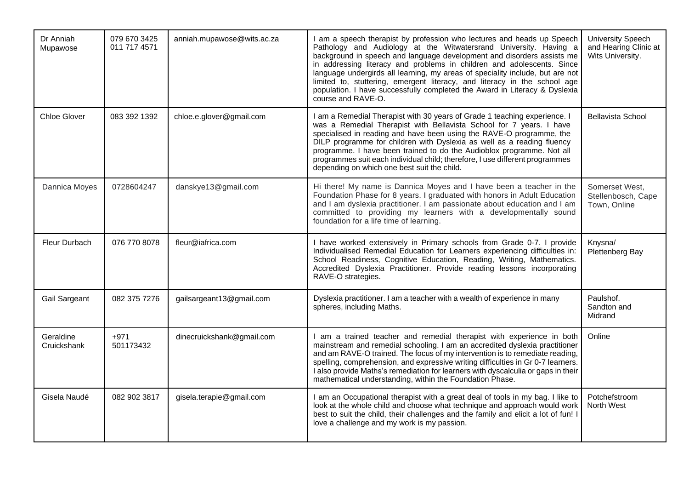| Dr Anniah<br>Mupawose    | 079 670 3425<br>011 717 4571 | anniah.mupawose@wits.ac.za | I am a speech therapist by profession who lectures and heads up Speech<br>Pathology and Audiology at the Witwatersrand University. Having a<br>background in speech and language development and disorders assists me<br>in addressing literacy and problems in children and adolescents. Since<br>language undergirds all learning, my areas of speciality include, but are not<br>limited to, stuttering, emergent literacy, and literacy in the school age<br>population. I have successfully completed the Award in Literacy & Dyslexia<br>course and RAVE-O. | <b>University Speech</b><br>and Hearing Clinic at<br>Wits University. |
|--------------------------|------------------------------|----------------------------|-------------------------------------------------------------------------------------------------------------------------------------------------------------------------------------------------------------------------------------------------------------------------------------------------------------------------------------------------------------------------------------------------------------------------------------------------------------------------------------------------------------------------------------------------------------------|-----------------------------------------------------------------------|
| <b>Chloe Glover</b>      | 083 392 1392                 | chloe.e.glover@gmail.com   | I am a Remedial Therapist with 30 years of Grade 1 teaching experience. I<br>was a Remedial Therapist with Bellavista School for 7 years. I have<br>specialised in reading and have been using the RAVE-O programme, the<br>DILP programme for children with Dyslexia as well as a reading fluency<br>programme. I have been trained to do the Audioblox programme. Not all<br>programmes suit each individual child; therefore, I use different programmes<br>depending on which one best suit the child.                                                        | <b>Bellavista School</b>                                              |
| Dannica Moyes            | 0728604247                   | danskye13@gmail.com        | Hi there! My name is Dannica Moyes and I have been a teacher in the<br>Foundation Phase for 8 years. I graduated with honors in Adult Education<br>and I am dyslexia practitioner. I am passionate about education and I am<br>committed to providing my learners with a developmentally sound<br>foundation for a life time of learning.                                                                                                                                                                                                                         | Somerset West.<br>Stellenbosch, Cape<br>Town, Online                  |
| Fleur Durbach            | 076 770 8078                 | fleur@iafrica.com          | I have worked extensively in Primary schools from Grade 0-7. I provide<br>Individualised Remedial Education for Learners experiencing difficulties in:<br>School Readiness, Cognitive Education, Reading, Writing, Mathematics.<br>Accredited Dyslexia Practitioner. Provide reading lessons incorporating<br>RAVE-O strategies.                                                                                                                                                                                                                                  | Knysna/<br>Plettenberg Bay                                            |
| Gail Sargeant            | 082 375 7276                 | gailsargeant13@gmail.com   | Dyslexia practitioner. I am a teacher with a wealth of experience in many<br>spheres, including Maths.                                                                                                                                                                                                                                                                                                                                                                                                                                                            | Paulshof.<br>Sandton and<br>Midrand                                   |
| Geraldine<br>Cruickshank | $+971$<br>501173432          | dinecruickshank@gmail.com  | I am a trained teacher and remedial therapist with experience in both<br>mainstream and remedial schooling. I am an accredited dyslexia practitioner<br>and am RAVE-O trained. The focus of my intervention is to remediate reading,<br>spelling, comprehension, and expressive writing difficulties in Gr 0-7 learners.<br>I also provide Maths's remediation for learners with dyscalculia or gaps in their<br>mathematical understanding, within the Foundation Phase.                                                                                         | Online                                                                |
| Gisela Naudé             | 082 902 3817                 | gisela.terapie@gmail.com   | I am an Occupational therapist with a great deal of tools in my bag. I like to<br>look at the whole child and choose what technique and approach would work<br>best to suit the child, their challenges and the family and elicit a lot of fun! I<br>love a challenge and my work is my passion.                                                                                                                                                                                                                                                                  | Potchefstroom<br>North West                                           |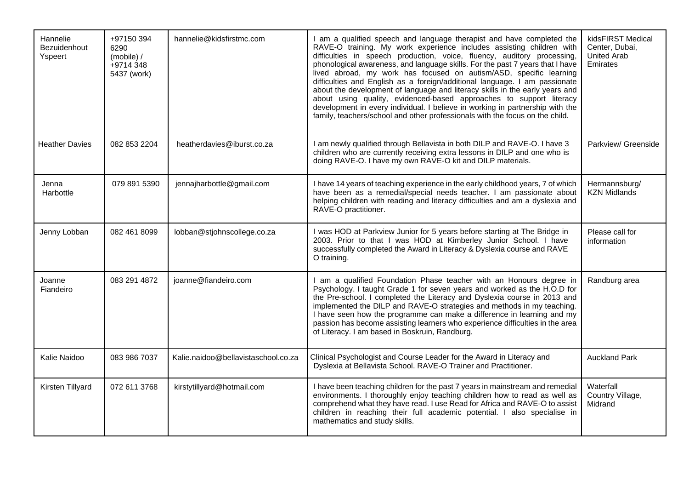| Hannelie<br>Bezuidenhout<br>Yspeert | +97150 394<br>6290<br>(mobile) /<br>+9714 348<br>5437 (work) | hannelie@kidsfirstmc.com            | I am a qualified speech and language therapist and have completed the<br>RAVE-O training. My work experience includes assisting children with<br>difficulties in speech production, voice, fluency, auditory processing,<br>phonological awareness, and language skills. For the past 7 years that I have<br>lived abroad, my work has focused on autism/ASD, specific learning<br>difficulties and English as a foreign/additional language. I am passionate<br>about the development of language and literacy skills in the early years and<br>about using quality, evidenced-based approaches to support literacy<br>development in every individual. I believe in working in partnership with the<br>family, teachers/school and other professionals with the focus on the child. | kidsFIRST Medical<br>Center, Dubai,<br><b>United Arab</b><br>Emirates |
|-------------------------------------|--------------------------------------------------------------|-------------------------------------|---------------------------------------------------------------------------------------------------------------------------------------------------------------------------------------------------------------------------------------------------------------------------------------------------------------------------------------------------------------------------------------------------------------------------------------------------------------------------------------------------------------------------------------------------------------------------------------------------------------------------------------------------------------------------------------------------------------------------------------------------------------------------------------|-----------------------------------------------------------------------|
| <b>Heather Davies</b>               | 082 853 2204                                                 | heatherdavies@iburst.co.za          | I am newly qualified through Bellavista in both DILP and RAVE-O. I have 3<br>children who are currently receiving extra lessons in DILP and one who is<br>doing RAVE-O. I have my own RAVE-O kit and DILP materials.                                                                                                                                                                                                                                                                                                                                                                                                                                                                                                                                                                  | Parkview/ Greenside                                                   |
| Jenna<br>Harbottle                  | 079 891 5390                                                 | jennajharbottle@gmail.com           | I have 14 years of teaching experience in the early childhood years, 7 of which<br>have been as a remedial/special needs teacher. I am passionate about<br>helping children with reading and literacy difficulties and am a dyslexia and<br>RAVE-O practitioner.                                                                                                                                                                                                                                                                                                                                                                                                                                                                                                                      | Hermannsburg/<br><b>KZN Midlands</b>                                  |
| Jenny Lobban                        | 082 461 8099                                                 | lobban@stjohnscollege.co.za         | I was HOD at Parkview Junior for 5 years before starting at The Bridge in<br>2003. Prior to that I was HOD at Kimberley Junior School. I have<br>successfully completed the Award in Literacy & Dyslexia course and RAVE<br>O training.                                                                                                                                                                                                                                                                                                                                                                                                                                                                                                                                               | Please call for<br>information                                        |
| Joanne<br>Fiandeiro                 | 083 291 4872                                                 | joanne@fiandeiro.com                | I am a qualified Foundation Phase teacher with an Honours degree in<br>Psychology. I taught Grade 1 for seven years and worked as the H.O.D for<br>the Pre-school. I completed the Literacy and Dyslexia course in 2013 and<br>implemented the DILP and RAVE-O strategies and methods in my teaching.<br>I have seen how the programme can make a difference in learning and my<br>passion has become assisting learners who experience difficulties in the area<br>of Literacy. I am based in Boskruin, Randburg.                                                                                                                                                                                                                                                                    | Randburg area                                                         |
| Kalie Naidoo                        | 083 986 7037                                                 | Kalie.naidoo@bellavistaschool.co.za | Clinical Psychologist and Course Leader for the Award in Literacy and<br>Dyslexia at Bellavista School. RAVE-O Trainer and Practitioner.                                                                                                                                                                                                                                                                                                                                                                                                                                                                                                                                                                                                                                              | <b>Auckland Park</b>                                                  |
| Kirsten Tillyard                    | 072 611 3768                                                 | kirstytillyard@hotmail.com          | I have been teaching children for the past 7 years in mainstream and remedial<br>environments. I thoroughly enjoy teaching children how to read as well as<br>comprehend what they have read. I use Read for Africa and RAVE-O to assist<br>children in reaching their full academic potential. I also specialise in<br>mathematics and study skills.                                                                                                                                                                                                                                                                                                                                                                                                                                 | Waterfall<br>Country Village,<br>Midrand                              |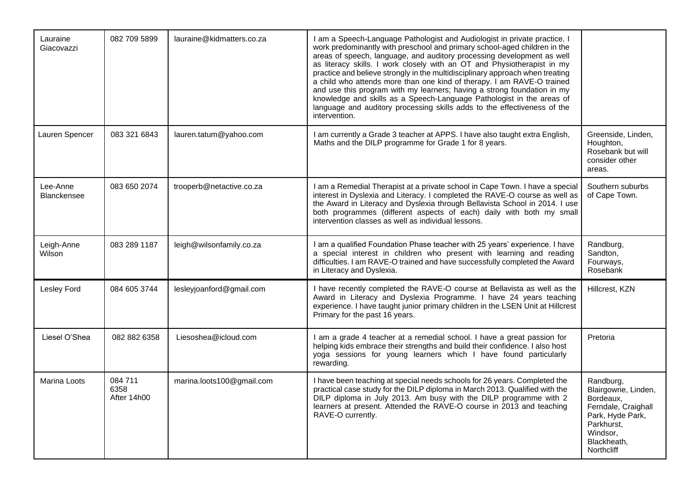| Lauraine<br>Giacovazzi         | 082 709 5899                   | lauraine@kidmatters.co.za | I am a Speech-Language Pathologist and Audiologist in private practice. I<br>work predominantly with preschool and primary school-aged children in the<br>areas of speech, language, and auditory processing development as well<br>as literacy skills. I work closely with an OT and Physiotherapist in my<br>practice and believe strongly in the multidisciplinary approach when treating<br>a child who attends more than one kind of therapy. I am RAVE-O trained<br>and use this program with my learners; having a strong foundation in my<br>knowledge and skills as a Speech-Language Pathologist in the areas of<br>language and auditory processing skills adds to the effectiveness of the<br>intervention. |                                                                                                                                                  |
|--------------------------------|--------------------------------|---------------------------|-------------------------------------------------------------------------------------------------------------------------------------------------------------------------------------------------------------------------------------------------------------------------------------------------------------------------------------------------------------------------------------------------------------------------------------------------------------------------------------------------------------------------------------------------------------------------------------------------------------------------------------------------------------------------------------------------------------------------|--------------------------------------------------------------------------------------------------------------------------------------------------|
| Lauren Spencer                 | 083 321 6843                   | lauren.tatum@yahoo.com    | I am currently a Grade 3 teacher at APPS. I have also taught extra English,<br>Maths and the DILP programme for Grade 1 for 8 years.                                                                                                                                                                                                                                                                                                                                                                                                                                                                                                                                                                                    | Greenside, Linden,<br>Houghton,<br>Rosebank but will<br>consider other<br>areas.                                                                 |
| Lee-Anne<br><b>Blanckensee</b> | 083 650 2074                   | trooperb@netactive.co.za  | I am a Remedial Therapist at a private school in Cape Town. I have a special<br>interest in Dyslexia and Literacy. I completed the RAVE-O course as well as<br>the Award in Literacy and Dyslexia through Bellavista School in 2014. I use<br>both programmes (different aspects of each) daily with both my small<br>intervention classes as well as individual lessons.                                                                                                                                                                                                                                                                                                                                               | Southern suburbs<br>of Cape Town.                                                                                                                |
| Leigh-Anne<br>Wilson           | 083 289 1187                   | leigh@wilsonfamily.co.za  | I am a qualified Foundation Phase teacher with 25 years' experience. I have<br>a special interest in children who present with learning and reading<br>difficulties. I am RAVE-O trained and have successfully completed the Award<br>in Literacy and Dyslexia.                                                                                                                                                                                                                                                                                                                                                                                                                                                         | Randburg,<br>Sandton,<br>Fourways,<br>Rosebank                                                                                                   |
| Lesley Ford                    | 084 605 3744                   | lesleyjoanford@gmail.com  | I have recently completed the RAVE-O course at Bellavista as well as the<br>Award in Literacy and Dyslexia Programme. I have 24 years teaching<br>experience. I have taught junior primary children in the LSEN Unit at Hillcrest<br>Primary for the past 16 years.                                                                                                                                                                                                                                                                                                                                                                                                                                                     | Hillcrest, KZN                                                                                                                                   |
| Liesel O'Shea                  | 082 882 6358                   | Liesoshea@icloud.com      | I am a grade 4 teacher at a remedial school. I have a great passion for<br>helping kids embrace their strengths and build their confidence. I also host<br>yoga sessions for young learners which I have found particularly<br>rewarding.                                                                                                                                                                                                                                                                                                                                                                                                                                                                               | Pretoria                                                                                                                                         |
| Marina Loots                   | 084 711<br>6358<br>After 14h00 | marina.loots100@gmail.com | I have been teaching at special needs schools for 26 years. Completed the<br>practical case study for the DILP diploma in March 2013. Qualified with the<br>DILP diploma in July 2013. Am busy with the DILP programme with 2<br>learners at present. Attended the RAVE-O course in 2013 and teaching<br>RAVE-O currently.                                                                                                                                                                                                                                                                                                                                                                                              | Randburg,<br>Blairgowrie, Linden,<br>Bordeaux,<br>Ferndale, Craighall<br>Park, Hyde Park,<br>Parkhurst,<br>Windsor,<br>Blackheath,<br>Northcliff |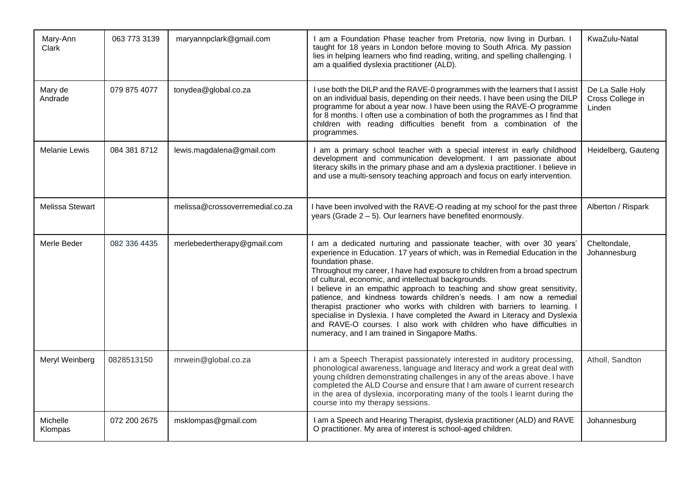| Mary-Ann<br>Clark      | 063 773 3139 | maryannpclark@gmail.com         | I am a Foundation Phase teacher from Pretoria, now living in Durban. I<br>taught for 18 years in London before moving to South Africa. My passion<br>lies in helping learners who find reading, writing, and spelling challenging. I<br>am a qualified dyslexia practitioner (ALD).                                                                                                                                                                                                                                                                                                                                                                                                                                                                             | KwaZulu-Natal                                  |
|------------------------|--------------|---------------------------------|-----------------------------------------------------------------------------------------------------------------------------------------------------------------------------------------------------------------------------------------------------------------------------------------------------------------------------------------------------------------------------------------------------------------------------------------------------------------------------------------------------------------------------------------------------------------------------------------------------------------------------------------------------------------------------------------------------------------------------------------------------------------|------------------------------------------------|
| Mary de<br>Andrade     | 079 875 4077 | tonydea@global.co.za            | I use both the DILP and the RAVE-0 programmes with the learners that I assist<br>on an individual basis, depending on their needs. I have been using the DILP<br>programme for about a year now. I have been using the RAVE-O programme<br>for 8 months. I often use a combination of both the programmes as I find that<br>children with reading difficulties benefit from a combination of the<br>programmes.                                                                                                                                                                                                                                                                                                                                                 | De La Salle Holy<br>Cross College in<br>Linden |
| <b>Melanie Lewis</b>   | 084 381 8712 | lewis.magdalena@gmail.com       | I am a primary school teacher with a special interest in early childhood<br>development and communication development. I am passionate about<br>literacy skills in the primary phase and am a dyslexia practitioner. I believe in<br>and use a multi-sensory teaching approach and focus on early intervention.                                                                                                                                                                                                                                                                                                                                                                                                                                                 | Heidelberg, Gauteng                            |
| <b>Melissa Stewart</b> |              | melissa@crossoverremedial.co.za | I have been involved with the RAVE-O reading at my school for the past three<br>years (Grade $2 - 5$ ). Our learners have benefited enormously.                                                                                                                                                                                                                                                                                                                                                                                                                                                                                                                                                                                                                 | Alberton / Rispark                             |
| Merle Beder            | 082 336 4435 | merlebedertherapy@gmail.com     | I am a dedicated nurturing and passionate teacher, with over 30 years'<br>experience in Education. 17 years of which, was in Remedial Education in the<br>foundation phase.<br>Throughout my career, I have had exposure to children from a broad spectrum<br>of cultural, economic, and intellectual backgrounds.<br>I believe in an empathic approach to teaching and show great sensitivity,<br>patience, and kindness towards children's needs. I am now a remedial<br>therapist practioner who works with children with barriers to learning. I<br>specialise in Dyslexia. I have completed the Award in Literacy and Dyslexia<br>and RAVE-O courses. I also work with children who have difficulties in<br>numeracy, and I am trained in Singapore Maths. | Cheltondale,<br>Johannesburg                   |
| Meryl Weinberg         | 0828513150   | mrwein@global.co.za             | I am a Speech Therapist passionately interested in auditory processing,<br>phonological awareness, language and literacy and work a great deal with<br>young children demonstrating challenges in any of the areas above. I have<br>completed the ALD Course and ensure that I am aware of current research<br>in the area of dyslexia, incorporating many of the tools I learnt during the<br>course into my therapy sessions.                                                                                                                                                                                                                                                                                                                                 | Atholl, Sandton                                |
| Michelle<br>Klompas    | 072 200 2675 | msklompas@gmail.com             | I am a Speech and Hearing Therapist, dyslexia practitioner (ALD) and RAVE<br>O practitioner. My area of interest is school-aged children.                                                                                                                                                                                                                                                                                                                                                                                                                                                                                                                                                                                                                       | Johannesburg                                   |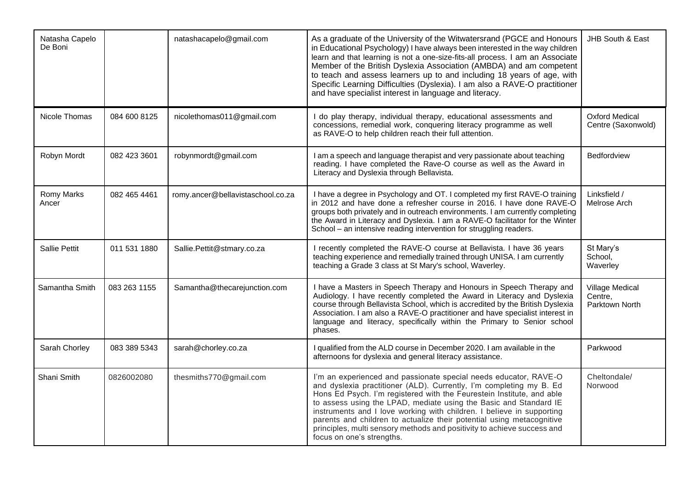| Natasha Capelo<br>De Boni |              | natashacapelo@gmail.com           | As a graduate of the University of the Witwatersrand (PGCE and Honours<br>in Educational Psychology) I have always been interested in the way children<br>learn and that learning is not a one-size-fits-all process. I am an Associate<br>Member of the British Dyslexia Association (AMBDA) and am competent<br>to teach and assess learners up to and including 18 years of age, with<br>Specific Learning Difficulties (Dyslexia). I am also a RAVE-O practitioner<br>and have specialist interest in language and literacy.                | JHB South & East                                    |
|---------------------------|--------------|-----------------------------------|-------------------------------------------------------------------------------------------------------------------------------------------------------------------------------------------------------------------------------------------------------------------------------------------------------------------------------------------------------------------------------------------------------------------------------------------------------------------------------------------------------------------------------------------------|-----------------------------------------------------|
| Nicole Thomas             | 084 600 8125 | nicolethomas011@gmail.com         | I do play therapy, individual therapy, educational assessments and<br>concessions, remedial work, conquering literacy programme as well<br>as RAVE-O to help children reach their full attention.                                                                                                                                                                                                                                                                                                                                               | <b>Oxford Medical</b><br>Centre (Saxonwold)         |
| Robyn Mordt               | 082 423 3601 | robynmordt@gmail.com              | I am a speech and language therapist and very passionate about teaching<br>reading. I have completed the Rave-O course as well as the Award in<br>Literacy and Dyslexia through Bellavista.                                                                                                                                                                                                                                                                                                                                                     | Bedfordview                                         |
| Romy Marks<br>Ancer       | 082 465 4461 | romy.ancer@bellavistaschool.co.za | I have a degree in Psychology and OT. I completed my first RAVE-O training<br>in 2012 and have done a refresher course in 2016. I have done RAVE-O<br>groups both privately and in outreach environments. I am currently completing<br>the Award in Literacy and Dyslexia. I am a RAVE-O facilitator for the Winter<br>School - an intensive reading intervention for struggling readers.                                                                                                                                                       | Linksfield /<br>Melrose Arch                        |
| <b>Sallie Pettit</b>      | 011 531 1880 | Sallie.Pettit@stmary.co.za        | I recently completed the RAVE-O course at Bellavista. I have 36 years<br>teaching experience and remedially trained through UNISA. I am currently<br>teaching a Grade 3 class at St Mary's school, Waverley.                                                                                                                                                                                                                                                                                                                                    | St Mary's<br>School,<br>Waverley                    |
| Samantha Smith            | 083 263 1155 | Samantha@thecarejunction.com      | I have a Masters in Speech Therapy and Honours in Speech Therapy and<br>Audiology. I have recently completed the Award in Literacy and Dyslexia<br>course through Bellavista School, which is accredited by the British Dyslexia<br>Association. I am also a RAVE-O practitioner and have specialist interest in<br>language and literacy, specifically within the Primary to Senior school<br>phases.                                                                                                                                          | <b>Village Medical</b><br>Centre,<br>Parktown North |
| Sarah Chorley             | 083 389 5343 | sarah@chorley.co.za               | I qualified from the ALD course in December 2020. I am available in the<br>afternoons for dyslexia and general literacy assistance.                                                                                                                                                                                                                                                                                                                                                                                                             | Parkwood                                            |
| Shani Smith               | 0826002080   | thesmiths770@gmail.com            | I'm an experienced and passionate special needs educator, RAVE-O<br>and dyslexia practitioner (ALD). Currently, I'm completing my B. Ed<br>Hons Ed Psych. I'm registered with the Feurestein Institute, and able<br>to assess using the LPAD, mediate using the Basic and Standard IE<br>instruments and I love working with children. I believe in supporting<br>parents and children to actualize their potential using metacognitive<br>principles, multi sensory methods and positivity to achieve success and<br>focus on one's strengths. | Cheltondale/<br>Norwood                             |